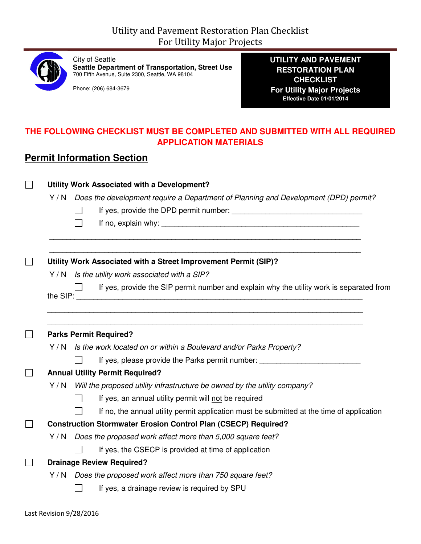

City of Seattle **Seattle Department of Transportation, Street Use**  700 Fifth Avenue, Suite 2300, Seattle, WA 98104

Phone: (206) 684-3679

**UTILITY AND PAVEMENT RESTORATION PLAN CHECKLIST For Utility Major Projects Effective Date 01/01/2014** 

#### **THE FOLLOWING CHECKLIST MUST BE COMPLETED AND SUBMITTED WITH ALL REQUIRED APPLICATION MATERIALS**

## **Permit Information Section**

| Utility Work Associated with a Development? |                                                                                           |  |  |  |
|---------------------------------------------|-------------------------------------------------------------------------------------------|--|--|--|
|                                             | Y / N Does the development require a Department of Planning and Development (DPD) permit? |  |  |  |
|                                             | $\mathsf{L}$                                                                              |  |  |  |
|                                             | $\mathsf{L}$                                                                              |  |  |  |
|                                             | Utility Work Associated with a Street Improvement Permit (SIP)?                           |  |  |  |
|                                             | Y / N Is the utility work associated with a SIP?                                          |  |  |  |
|                                             | If yes, provide the SIP permit number and explain why the utility work is separated from  |  |  |  |
|                                             | <b>Parks Permit Required?</b>                                                             |  |  |  |
|                                             | Y / N Is the work located on or within a Boulevard and/or Parks Property?                 |  |  |  |
|                                             | If yes, please provide the Parks permit number: ________________________________          |  |  |  |
|                                             | <b>Annual Utility Permit Required?</b>                                                    |  |  |  |
|                                             | Y / N Will the proposed utility infrastructure be owned by the utility company?           |  |  |  |
|                                             | If yes, an annual utility permit will not be required<br>$\Box$                           |  |  |  |
|                                             | If no, the annual utility permit application must be submitted at the time of application |  |  |  |
|                                             | <b>Construction Stormwater Erosion Control Plan (CSECP) Required?</b>                     |  |  |  |
|                                             | Y/N Does the proposed work affect more than 5,000 square feet?                            |  |  |  |
|                                             | If yes, the CSECP is provided at time of application                                      |  |  |  |
|                                             | <b>Drainage Review Required?</b>                                                          |  |  |  |
|                                             | Y/N Does the proposed work affect more than 750 square feet?                              |  |  |  |
|                                             |                                                                                           |  |  |  |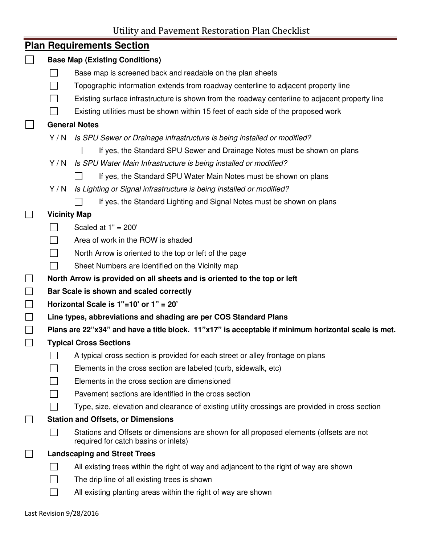Utility and Pavement Restoration Plan Checklist

i,

|                                           | <b>Plan Requirements Section</b>                                                                                                |  |  |
|-------------------------------------------|---------------------------------------------------------------------------------------------------------------------------------|--|--|
|                                           | <b>Base Map (Existing Conditions)</b>                                                                                           |  |  |
|                                           | Base map is screened back and readable on the plan sheets                                                                       |  |  |
| $\sim$                                    | Topographic information extends from roadway centerline to adjacent property line                                               |  |  |
|                                           | Existing surface infrastructure is shown from the roadway centerline to adjacent property line                                  |  |  |
|                                           | Existing utilities must be shown within 15 feet of each side of the proposed work                                               |  |  |
|                                           | <b>General Notes</b>                                                                                                            |  |  |
| Y/N                                       | Is SPU Sewer or Drainage infrastructure is being installed or modified?                                                         |  |  |
|                                           | If yes, the Standard SPU Sewer and Drainage Notes must be shown on plans                                                        |  |  |
| Y/N                                       | Is SPU Water Main Infrastructure is being installed or modified?                                                                |  |  |
|                                           | If yes, the Standard SPU Water Main Notes must be shown on plans                                                                |  |  |
| Y/N                                       | Is Lighting or Signal infrastructure is being installed or modified?                                                            |  |  |
|                                           | If yes, the Standard Lighting and Signal Notes must be shown on plans                                                           |  |  |
| <b>Vicinity Map</b>                       |                                                                                                                                 |  |  |
|                                           | Scaled at $1" = 200'$                                                                                                           |  |  |
|                                           | Area of work in the ROW is shaded                                                                                               |  |  |
|                                           | North Arrow is oriented to the top or left of the page                                                                          |  |  |
|                                           | Sheet Numbers are identified on the Vicinity map                                                                                |  |  |
|                                           | North Arrow is provided on all sheets and is oriented to the top or left                                                        |  |  |
|                                           | Bar Scale is shown and scaled correctly                                                                                         |  |  |
|                                           | Horizontal Scale is 1"=10' or 1" = 20"                                                                                          |  |  |
|                                           | Line types, abbreviations and shading are per COS Standard Plans                                                                |  |  |
|                                           | Plans are 22"x34" and have a title block. 11"x17" is acceptable if minimum horizontal scale is met.                             |  |  |
|                                           | <b>Typical Cross Sections</b>                                                                                                   |  |  |
|                                           | A typical cross section is provided for each street or alley frontage on plans                                                  |  |  |
|                                           | Elements in the cross section are labeled (curb, sidewalk, etc)                                                                 |  |  |
|                                           | Elements in the cross section are dimensioned                                                                                   |  |  |
|                                           | Pavement sections are identified in the cross section                                                                           |  |  |
|                                           | Type, size, elevation and clearance of existing utility crossings are provided in cross section                                 |  |  |
| <b>Station and Offsets, or Dimensions</b> |                                                                                                                                 |  |  |
|                                           | Stations and Offsets or dimensions are shown for all proposed elements (offsets are not<br>required for catch basins or inlets) |  |  |
|                                           | <b>Landscaping and Street Trees</b>                                                                                             |  |  |
|                                           | All existing trees within the right of way and adjancent to the right of way are shown                                          |  |  |
|                                           | The drip line of all existing trees is shown                                                                                    |  |  |
|                                           | All existing planting areas within the right of way are shown                                                                   |  |  |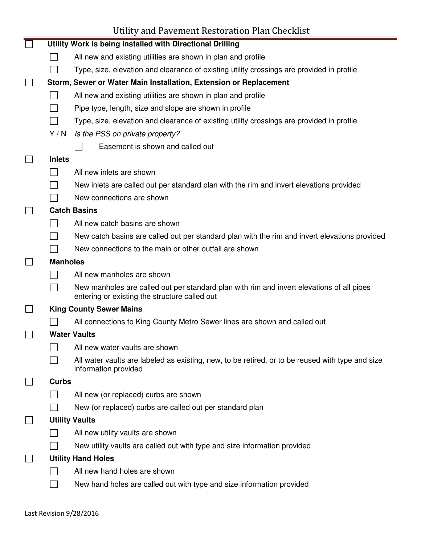# Utility and Pavement Restoration Plan Checklist

|                 | Utility Work is being installed with Directional Drilling                                                                                  |
|-----------------|--------------------------------------------------------------------------------------------------------------------------------------------|
|                 | All new and existing utilities are shown in plan and profile                                                                               |
|                 | Type, size, elevation and clearance of existing utility crossings are provided in profile                                                  |
|                 | Storm, Sewer or Water Main Installation, Extension or Replacement                                                                          |
|                 | All new and existing utilities are shown in plan and profile                                                                               |
|                 | Pipe type, length, size and slope are shown in profile                                                                                     |
|                 | Type, size, elevation and clearance of existing utility crossings are provided in profile                                                  |
| Y/N             | Is the PSS on private property?                                                                                                            |
|                 | Easement is shown and called out                                                                                                           |
| <b>Inlets</b>   |                                                                                                                                            |
|                 | All new inlets are shown                                                                                                                   |
|                 | New inlets are called out per standard plan with the rim and invert elevations provided                                                    |
|                 | New connections are shown                                                                                                                  |
|                 | <b>Catch Basins</b>                                                                                                                        |
|                 | All new catch basins are shown                                                                                                             |
|                 | New catch basins are called out per standard plan with the rim and invert elevations provided                                              |
|                 | New connections to the main or other outfall are shown                                                                                     |
| <b>Manholes</b> |                                                                                                                                            |
|                 | All new manholes are shown                                                                                                                 |
|                 | New manholes are called out per standard plan with rim and invert elevations of all pipes<br>entering or existing the structure called out |
|                 | <b>King County Sewer Mains</b>                                                                                                             |
|                 | All connections to King County Metro Sewer lines are shown and called out                                                                  |
|                 | <b>Water Vaults</b>                                                                                                                        |
|                 | All new water vaults are shown                                                                                                             |
|                 | All water vaults are labeled as existing, new, to be retired, or to be reused with type and size<br>information provided                   |
| <b>Curbs</b>    |                                                                                                                                            |
|                 | All new (or replaced) curbs are shown                                                                                                      |
|                 | New (or replaced) curbs are called out per standard plan                                                                                   |
|                 | <b>Utility Vaults</b>                                                                                                                      |
|                 | All new utility vaults are shown                                                                                                           |
|                 | New utility vaults are called out with type and size information provided                                                                  |
|                 | <b>Utility Hand Holes</b>                                                                                                                  |
|                 | All new hand holes are shown                                                                                                               |
|                 | New hand holes are called out with type and size information provided                                                                      |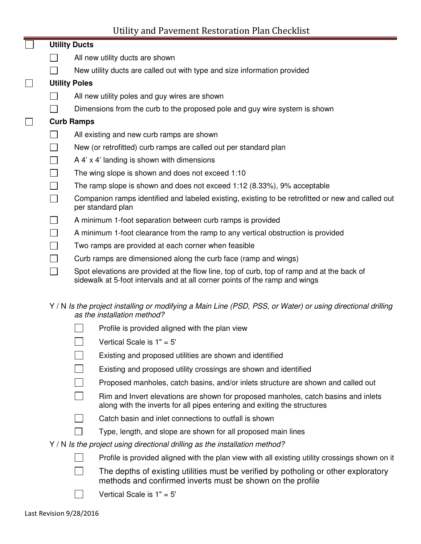## Utility and Pavement Restoration Plan Checklist

|                             |  | <b>Utility Ducts</b>                                                                                                                                                      |
|-----------------------------|--|---------------------------------------------------------------------------------------------------------------------------------------------------------------------------|
|                             |  | All new utility ducts are shown                                                                                                                                           |
|                             |  | New utility ducts are called out with type and size information provided                                                                                                  |
| $\Box$                      |  | <b>Utility Poles</b>                                                                                                                                                      |
|                             |  | All new utility poles and guy wires are shown                                                                                                                             |
|                             |  | Dimensions from the curb to the proposed pole and guy wire system is shown                                                                                                |
| $\Box$<br><b>Curb Ramps</b> |  |                                                                                                                                                                           |
|                             |  | All existing and new curb ramps are shown                                                                                                                                 |
|                             |  | New (or retrofitted) curb ramps are called out per standard plan                                                                                                          |
|                             |  | A $4'$ x $4'$ landing is shown with dimensions                                                                                                                            |
|                             |  | The wing slope is shown and does not exceed 1:10                                                                                                                          |
|                             |  | The ramp slope is shown and does not exceed 1:12 (8.33%), 9% acceptable                                                                                                   |
|                             |  | Companion ramps identified and labeled existing, existing to be retrofitted or new and called out<br>per standard plan                                                    |
|                             |  | A minimum 1-foot separation between curb ramps is provided                                                                                                                |
|                             |  | A minimum 1-foot clearance from the ramp to any vertical obstruction is provided                                                                                          |
|                             |  | Two ramps are provided at each corner when feasible                                                                                                                       |
|                             |  | Curb ramps are dimensioned along the curb face (ramp and wings)                                                                                                           |
|                             |  | Spot elevations are provided at the flow line, top of curb, top of ramp and at the back of<br>sidewalk at 5-foot intervals and at all corner points of the ramp and wings |

#### Y / N Is the project installing or modifying a Main Line (PSD, PSS, or Water) or using directional drilling as the installation method?

- Profile is provided aligned with the plan view
- Vertical Scale is 1" = 5'
- $\Box$ Existing and proposed utilities are shown and identified
- $\mathsf{L}$ Existing and proposed utility crossings are shown and identified
- Proposed manholes, catch basins, and/or inlets structure are shown and called out
- $\Box$ Rim and Invert elevations are shown for proposed manholes, catch basins and inlets along with the inverts for all pipes entering and exiting the structures
- $\Box$ Catch basin and inlet connections to outfall is shown
- $\Box$  Type, length, and slope are shown for all proposed main lines
- Y / N Is the project using directional drilling as the installation method?
	- Profile is provided aligned with the plan view with all existing utility crossings shown on it
	- $\Box$  The depths of existing utilities must be verified by potholing or other exploratory methods and confirmed inverts must be shown on the profile
		- Vertical Scale is 1" = 5'